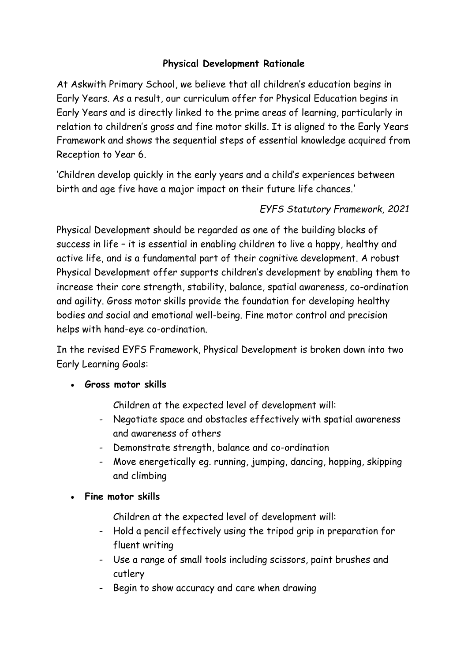# **Physical Development Rationale**

At Askwith Primary School, we believe that all children's education begins in Early Years. As a result, our curriculum offer for Physical Education begins in Early Years and is directly linked to the prime areas of learning, particularly in relation to children's gross and fine motor skills. It is aligned to the Early Years Framework and shows the sequential steps of essential knowledge acquired from Reception to Year 6.

'Children develop quickly in the early years and a child's experiences between birth and age five have a major impact on their future life chances.'

# *EYFS Statutory Framework, 2021*

Physical Development should be regarded as one of the building blocks of success in life – it is essential in enabling children to live a happy, healthy and active life, and is a fundamental part of their cognitive development. A robust Physical Development offer supports children's development by enabling them to increase their core strength, stability, balance, spatial awareness, co-ordination and agility. Gross motor skills provide the foundation for developing healthy bodies and social and emotional well-being. Fine motor control and precision helps with hand-eye co-ordination.

In the revised EYFS Framework, Physical Development is broken down into two Early Learning Goals:

**Gross motor skills** 

Children at the expected level of development will:

- Negotiate space and obstacles effectively with spatial awareness and awareness of others
- Demonstrate strength, balance and co-ordination
- Move energetically eg. running, jumping, dancing, hopping, skipping and climbing

### **Fine motor skills**

- Children at the expected level of development will:
- Hold a pencil effectively using the tripod grip in preparation for fluent writing
- Use a range of small tools including scissors, paint brushes and cutlery
- Begin to show accuracy and care when drawing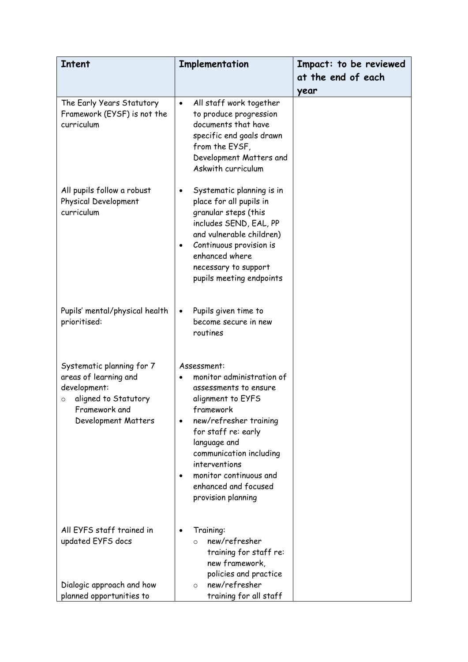| <b>Intent</b>                                                                                                                                 | Implementation                                                                                                                                                                                                                                                                                        | Impact: to be reviewed<br>at the end of each |
|-----------------------------------------------------------------------------------------------------------------------------------------------|-------------------------------------------------------------------------------------------------------------------------------------------------------------------------------------------------------------------------------------------------------------------------------------------------------|----------------------------------------------|
|                                                                                                                                               |                                                                                                                                                                                                                                                                                                       | year                                         |
| The Early Years Statutory<br>Framework (EYSF) is not the<br>curriculum                                                                        | All staff work together<br>$\bullet$<br>to produce progression<br>documents that have<br>specific end goals drawn<br>from the EYSF,<br>Development Matters and<br>Askwith curriculum                                                                                                                  |                                              |
| All pupils follow a robust<br>Physical Development<br>curriculum                                                                              | Systematic planning is in<br>$\bullet$<br>place for all pupils in<br>granular steps (this<br>includes SEND, EAL, PP<br>and vulnerable children)<br>Continuous provision is<br>٠<br>enhanced where<br>necessary to support<br>pupils meeting endpoints                                                 |                                              |
| Pupils' mental/physical health<br>prioritised:                                                                                                | Pupils given time to<br>$\bullet$<br>become secure in new<br>routines                                                                                                                                                                                                                                 |                                              |
| Systematic planning for 7<br>areas of learning and<br>development:<br>aligned to Statutory<br>$\circ$<br>Framework and<br>Development Matters | Assessment:<br>monitor administration of<br>assessments to ensure<br>alignment to EYFS<br>framework<br>new/refresher training<br>$\bullet$<br>for staff re: early<br>language and<br>communication including<br>interventions<br>monitor continuous and<br>enhanced and focused<br>provision planning |                                              |
| All EYFS staff trained in<br>updated EYFS docs<br>Dialogic approach and how<br>planned opportunities to                                       | Training:<br>new/refresher<br>$\Omega$<br>training for staff re:<br>new framework,<br>policies and practice<br>new/refresher<br>$\circ$<br>training for all staff                                                                                                                                     |                                              |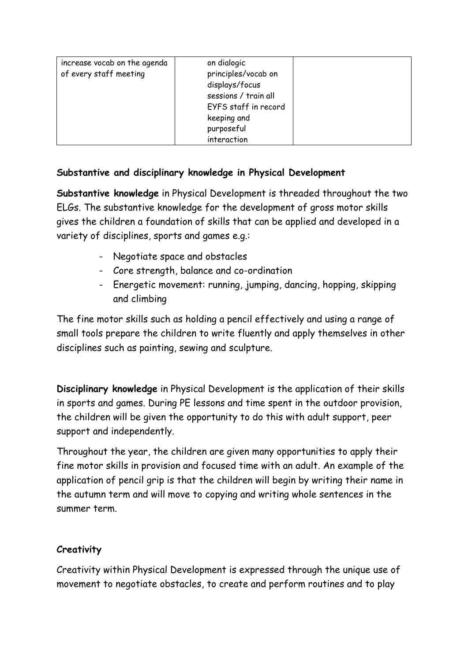| increase vocab on the agenda<br>of every staff meeting | on dialogic<br>principles/vocab on |  |
|--------------------------------------------------------|------------------------------------|--|
|                                                        | displays/focus                     |  |
|                                                        | sessions / train all               |  |
|                                                        | EYFS staff in record               |  |
|                                                        | keeping and                        |  |
|                                                        | purposeful                         |  |
|                                                        | interaction                        |  |

## **Substantive and disciplinary knowledge in Physical Development**

**Substantive knowledge** in Physical Development is threaded throughout the two ELGs. The substantive knowledge for the development of gross motor skills gives the children a foundation of skills that can be applied and developed in a variety of disciplines, sports and games e.g.:

- Negotiate space and obstacles
- Core strength, balance and co-ordination
- Energetic movement: running, jumping, dancing, hopping, skipping and climbing

The fine motor skills such as holding a pencil effectively and using a range of small tools prepare the children to write fluently and apply themselves in other disciplines such as painting, sewing and sculpture.

**Disciplinary knowledge** in Physical Development is the application of their skills in sports and games. During PE lessons and time spent in the outdoor provision, the children will be given the opportunity to do this with adult support, peer support and independently.

Throughout the year, the children are given many opportunities to apply their fine motor skills in provision and focused time with an adult. An example of the application of pencil grip is that the children will begin by writing their name in the autumn term and will move to copying and writing whole sentences in the summer term.

# **Creativity**

Creativity within Physical Development is expressed through the unique use of movement to negotiate obstacles, to create and perform routines and to play